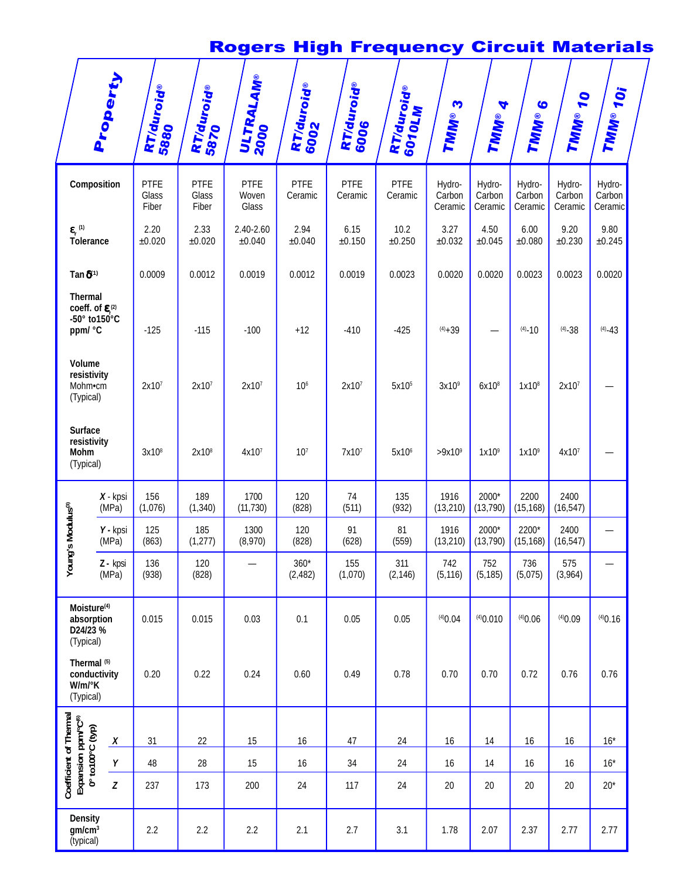# Rogers High Frequency Circuit Materials

|                                                                                                      | Property            | <b>RT/duroid®</b><br>5880     | RT/duroid®<br>5870     | ULTRALAM®<br>2000             | <b>RT/duroid®</b><br>6002 | <b>RT/duroid®</b><br>6006 | RT/duroid®<br>6010LM   | S<br>TMM®                   | 4<br>TMM®                   | $\bullet$<br>TMM®           | <b>70</b><br>TMM®           | TMM® 10i                    |
|------------------------------------------------------------------------------------------------------|---------------------|-------------------------------|------------------------|-------------------------------|---------------------------|---------------------------|------------------------|-----------------------------|-----------------------------|-----------------------------|-----------------------------|-----------------------------|
|                                                                                                      | Composition         | <b>PTFE</b><br>Glass<br>Fiber | PTFE<br>Glass<br>Fiber | <b>PTFE</b><br>Woven<br>Glass | PTFE<br>Ceramic           | <b>PTFE</b><br>Ceramic    | <b>PTFE</b><br>Ceramic | Hydro-<br>Carbon<br>Ceramic | Hydro-<br>Carbon<br>Ceramic | Hydro-<br>Carbon<br>Ceramic | Hydro-<br>Carbon<br>Ceramic | Hydro-<br>Carbon<br>Ceramic |
| $\boldsymbol{\varepsilon}_{\text{r}}^{\text{\tiny(1)}}$<br>Tolerance                                 |                     | 2.20<br>$\pm 0.020$           | 2.33<br>±0.020         | 2.40-2.60<br>±0.040           | 2.94<br>$\pm 0.040$       | 6.15<br>±0.150            | 10.2<br>$\pm 0.250$    | 3.27<br>±0.032              | 4.50<br>$\pm 0.045$         | 6.00<br>±0.080              | 9.20<br>±0.230              | 9.80<br>±0.245              |
| Tan $\delta^{(1)}$                                                                                   |                     | 0.0009                        | 0.0012                 | 0.0019                        | 0.0012                    | 0.0019                    | 0.0023                 | 0.0020                      | 0.0020                      | 0.0023                      | 0.0023                      | 0.0020                      |
| <b>Thermal</b><br>coeff. of $\varepsilon^{(2)}$<br>$-50^\circ$ to $150^\circ$ C<br>ppm/ °C<br>Volume |                     | $-125$                        | $-115$                 | $-100$                        | $+12$                     | $-410$                    | $-425$                 | $(4) + 39$                  |                             | $(4) - 10$                  | $(4) - 38$                  | $(4) - 43$                  |
| resistivity<br>Mohm•cm<br>(Typical)                                                                  |                     | 2x10 <sup>7</sup>             | 2x10 <sup>7</sup>      | 2x10 <sup>7</sup>             | 10 <sup>6</sup>           | 2x10 <sup>7</sup>         | 5x10 <sup>5</sup>      | 3x10 <sup>9</sup>           | 6x10 <sup>8</sup>           | 1x10 <sup>8</sup>           | 2x10 <sup>7</sup>           |                             |
| <b>Surface</b><br>resistivity<br>Mohm<br>(Typical)                                                   |                     | 3x10 <sup>8</sup>             | 2x10 <sup>8</sup>      | 4x10 <sup>7</sup>             | 10 <sup>7</sup>           | 7x10 <sup>7</sup>         | 5x10 <sup>6</sup>      | $>9x10^9$                   | 1x10 <sup>9</sup>           | 1x10 <sup>9</sup>           | 4x10 <sup>7</sup>           |                             |
|                                                                                                      | $X - kpsi$<br>(MPa) | 156<br>(1,076)                | 189<br>(1, 340)        | 1700<br>(11, 730)             | 120<br>(828)              | 74<br>(511)               | 135<br>(932)           | 1916<br>(13, 210)           | 2000*<br>(13, 790)          | 2200<br>(15, 168)           | 2400<br>(16, 547)           |                             |
| g's Modulus <sup>®</sup>                                                                             | Y - kpsi<br>(MPa)   | 125<br>(863)                  | 185<br>(1, 277)        | 1300<br>(8,970)               | 120<br>(828)              | 91<br>(628)               | 81<br>(559)            | 1916<br>(13, 210)           | 2000*<br>(13, 790)          | 2200*<br>(15, 168)          | 2400<br>(16, 547)           |                             |
| Youn                                                                                                 | Z - kpsi<br>(MPa)   | 136<br>(938)                  | 120<br>(828)           |                               | $360*$<br>(2, 482)        | 155<br>(1,070)            | 311<br>(2, 146)        | 742<br>(5, 116)             | 752<br>(5, 185)             | 736<br>(5,075)              | 575<br>(3,964)              |                             |
| Moisture <sup>(4)</sup><br>D24/23 %<br>(Typical)                                                     | absorption          | 0.015                         | 0.015                  | 0.03                          | 0.1                       | 0.05                      | 0.05                   | (4)0.04                     | (4)0.010                    | (4)0.06                     | (4)0.09                     | (4)0.16                     |
| Thermal <sup>(5)</sup><br>W/m/°K<br>(Typical)                                                        | conductivity        | 0.20                          | 0.22                   | 0.24                          | 0.60                      | 0.49                      | 0.78                   | 0.70                        | 0.70                        | 0.72                        | 0.76                        | 0.76                        |
| Coefficient of Thermal<br>Expansion ppm/°C®<br>0° to100°C (typ)                                      | $\boldsymbol{X}$    | 31                            | 22                     | 15                            | 16                        | 47                        | 24                     | 16                          | 14                          | 16                          | $16$                        | $16*$                       |
|                                                                                                      | Υ                   | 48                            | 28                     | 15                            | 16                        | 34                        | 24                     | 16                          | 14                          | 16                          | 16                          | $16*$                       |
|                                                                                                      | Z                   | 237                           | 173                    | 200                           | 24                        | 117                       | 24                     | 20                          | 20                          | 20                          | 20                          | $20*$                       |
| <b>Density</b><br>gm/cm <sup>3</sup><br>(typical)                                                    |                     | 2.2                           | 2.2                    | 2.2                           | 2.1                       | 2.7                       | 3.1                    | 1.78                        | 2.07                        | 2.37                        | 2.77                        | 2.77                        |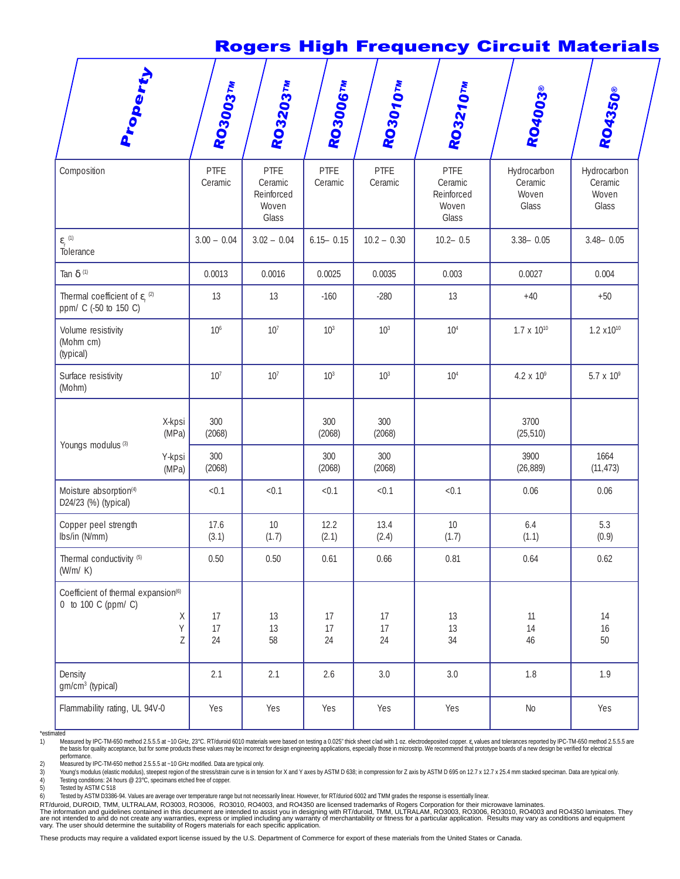### Rogers High Frequency Circuit Materials

| Property                                                               |                 | RO3003TM        | RO3203TW                                        | <b>RO30067M</b> | RO3010TM        | RO3210TM                                        | RO4003®                                  | R04350®                                  |
|------------------------------------------------------------------------|-----------------|-----------------|-------------------------------------------------|-----------------|-----------------|-------------------------------------------------|------------------------------------------|------------------------------------------|
| Composition                                                            |                 | PTFE<br>Ceramic | PTFE<br>Ceramic<br>Reinforced<br>Woven<br>Glass | PTFE<br>Ceramic | PTFE<br>Ceramic | PTFE<br>Ceramic<br>Reinforced<br>Woven<br>Glass | Hydrocarbon<br>Ceramic<br>Woven<br>Glass | Hydrocarbon<br>Ceramic<br>Woven<br>Glass |
| $\boldsymbol{\varepsilon}_{\text{r}}^{(1)}$<br>Tolerance               |                 | $3.00 - 0.04$   | $3.02 - 0.04$                                   | $6.15 - 0.15$   | $10.2 - 0.30$   | $10.2 - 0.5$                                    | $3.38 - 0.05$<br>$3.48 - 0.05$           |                                          |
| Tan $\delta$ (1)                                                       |                 | 0.0013          | 0.0016                                          | 0.0025          | 0.0035          | 0.003                                           | 0.0027                                   | 0.004                                    |
| Thermal coefficient of $\varepsilon_r^{(2)}$<br>ppm/ C (-50 to 150 C)  |                 | 13              | 13                                              | $-160$          | $-280$          | 13                                              | $+40$                                    | $+50$                                    |
| Volume resistivity<br>(Mohm cm)<br>(typical)                           |                 | 10 <sup>6</sup> | 10 <sup>7</sup>                                 | 10 <sup>3</sup> | 10 <sup>3</sup> | 10 <sup>4</sup>                                 | $1.7 \times 10^{10}$                     | $1.2 x10^{10}$                           |
| Surface resistivity<br>(Mohm)                                          |                 | 10 <sup>7</sup> | 10 <sup>7</sup>                                 | 10 <sup>3</sup> | 10 <sup>3</sup> | 10 <sup>4</sup>                                 | $4.2 \times 10^{9}$                      | 5.7 x 109                                |
| Youngs modulus <sup>(3)</sup>                                          | X-kpsi<br>(MPa) | 300<br>(2068)   |                                                 | 300<br>(2068)   | 300<br>(2068)   |                                                 | 3700<br>(25, 510)                        |                                          |
|                                                                        | Y-kpsi<br>(MPa) | 300<br>(2068)   |                                                 | 300<br>(2068)   | 300<br>(2068)   |                                                 | 3900<br>(26, 889)                        | 1664<br>(11, 473)                        |
| Moisture absorption <sup>(4)</sup><br>D24/23 (%) (typical)             |                 | < 0.1           | < 0.1                                           | < 0.1           | < 0.1           | < 0.1                                           | 0.06                                     | 0.06                                     |
| Copper peel strength<br>Ibs/in (N/mm)                                  |                 | 17.6<br>(3.1)   | 10<br>(1.7)                                     | 12.2<br>(2.1)   | 13.4<br>(2.4)   | $10$<br>(1.7)                                   | 6.4<br>(1.1)                             | 5.3<br>(0.9)                             |
| Thermal conductivity <sup>(5)</sup><br>(W/m/K)                         |                 | 0.50            | 0.50                                            | 0.61            | 0.66            | 0.81                                            | 0.64                                     | 0.62                                     |
| Coefficient of thermal expansion <sup>(6)</sup><br>0 to 100 C (ppm/ C) |                 |                 |                                                 |                 |                 |                                                 |                                          |                                          |
|                                                                        | X<br>Y<br>Z     | 17<br>17<br>24  | 13<br>13<br>58                                  | 17<br>17<br>24  | 17<br>17<br>24  | 13<br>13<br>34                                  | 11<br>14<br>46                           | 14<br>16<br>50                           |
| Density<br>$gm/cm3$ (typical)                                          |                 | 2.1             | 2.1                                             | 2.6             | 3.0             | 3.0                                             | 1.8                                      | 1.9                                      |
| Flammability rating, UL 94V-0                                          |                 | Yes             | Yes                                             | Yes             | Yes             | Yes                                             | $\rm No$                                 | Yes                                      |

\*estimated<br>1) Me 10 Measured by IPC-TM-650 method 2.5.5.5 at ~10 GHz, 23°C. RT/duroid 6010 materials were based on testing a 0.025" thick sheet clad with 1 oz. electrodeposited copper. c. values and tolerances reported by IPC-TM-650 method performance.

2) Measured by IPC-TM-650 method 2.5.5.5 at ~10 GHz modified. Data are typical only.<br>3) Young's modulus (elastic modulus), steepest region of the stress/strain curve is in tension for X and Y axes by ASTM D 638; in compres 4) Testing conditions: 24 hours @ 23°C, specimans etched free of copper.<br>5) Tested by ASTM C 518

5) Tested by ASTM C 518<br>6) Tested by ASTM D3386-Tested by ASTM D3386-94. Values are average over temperature range but not necessarily linear. However, for RT/duriod 6002 and TMM grades the response is essentially linear.

RT/duroid, DUROID, TMM, ULTRALAM, RO3003, RO3006, RO3010, RO4003, and RO4350 are licensed trademarks of Rogers Corporation for their microwave laminates.<br>The information and guidelines contained in this document are intend

These products may require a validated export license issued by the U.S. Department of Commerce for export of these materials from the United States or Canada.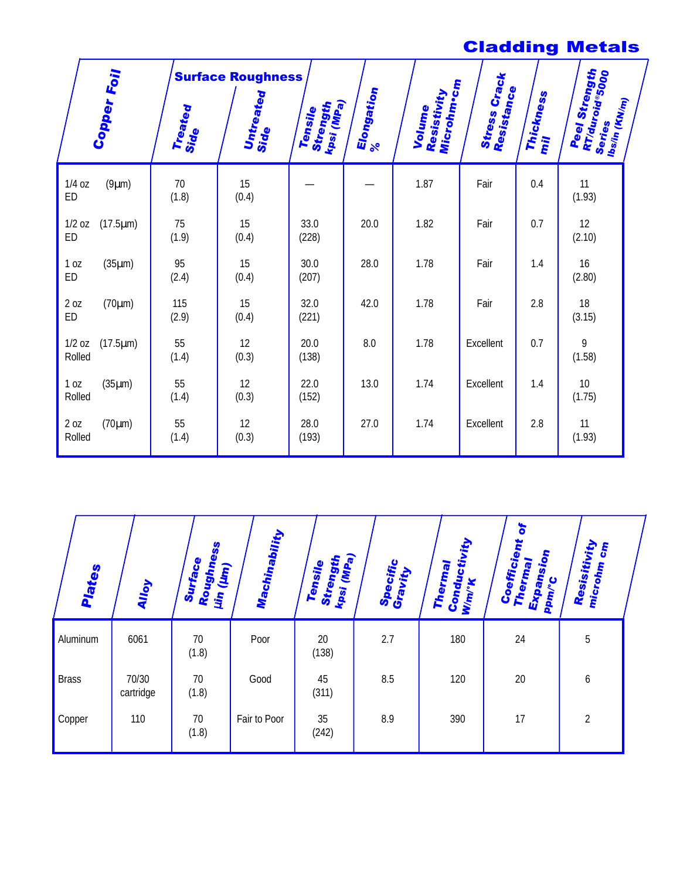## Cladding Metals

|                                      |                 | <b>Surface Roughness</b> |                                                 |                        |                                     | Crack                       |                         |                                                                        |
|--------------------------------------|-----------------|--------------------------|-------------------------------------------------|------------------------|-------------------------------------|-----------------------------|-------------------------|------------------------------------------------------------------------|
| Copper Foil                          | Treated<br>Side | Untreated<br>Side        | kpsi (lilp <sub>a)</sub><br>Strength<br>Tensile | Elongation<br>$\aleph$ | Microhm•cm<br>Resistivity<br>Volume | Resistance<br><b>Stress</b> | <b>Thickness</b><br>liu | Peel Strength<br>RT/duroid®5000<br>Ibs/in (KW <sub>/m)</sub><br>Series |
| $1/4$ oz<br>(9µm)<br><b>ED</b>       | 70<br>(1.8)     | 15<br>(0.4)              |                                                 |                        | 1.87                                | Fair                        | 0.4                     | 11<br>(1.93)                                                           |
| $1/2$ oz<br>$(17.5 \mu m)$<br>ED     | 75<br>(1.9)     | 15<br>(0.4)              | 33.0<br>(228)                                   | 20.0                   | 1.82                                | Fair                        | 0.7                     | 12<br>(2.10)                                                           |
| $(35\mu m)$<br>1 <sub>0Z</sub><br>ED | 95<br>(2.4)     | 15<br>(0.4)              | 30.0<br>(207)                                   | 28.0                   | 1.78                                | Fair                        | 1.4                     | 16<br>(2.80)                                                           |
| 2 oz<br>$(70 \mu m)$<br>ED           | 115<br>(2.9)    | 15<br>(0.4)              | 32.0<br>(221)                                   | 42.0                   | 1.78                                | Fair                        | 2.8                     | 18<br>(3.15)                                                           |
| $(17.5 \mu m)$<br>$1/2$ oz<br>Rolled | 55<br>(1.4)     | 12<br>(0.3)              | 20.0<br>(138)                                   | 8.0                    | 1.78                                | Excellent                   | 0.7                     | 9<br>(1.58)                                                            |
| 1 <sub>0Z</sub><br>(35µm)<br>Rolled  | 55<br>(1.4)     | 12<br>(0.3)              | 22.0<br>(152)                                   | 13.0                   | 1.74                                | Excellent                   | 1.4                     | 10 <sup>°</sup><br>(1.75)                                              |
| 2 oz<br>$(70 \mu m)$<br>Rolled       | 55<br>(1.4)     | 12<br>(0.3)              | 28.0<br>(193)                                   | 27.0                   | 1.74                                | <b>Excellent</b>            | 2.8                     | 11<br>(1.93)                                                           |

| Plates       | Alloy              | ဖိ<br>Surface<br>Roughn<br>$(\mu n)$<br>Щ <sub>п</sub> | Machinability | Strength<br><sup>kpsi</sup> (MPa)<br>Tensile<br>kpsi | Specific<br>Gravity | Conductivity<br>Thermal<br>Wm/*K | $\bullet$<br>Coefficient<br>Thermal<br>sion<br>Expans<br>PPm/°C | Resisitivity<br><b>S</b><br>microh <sub>m</sub> |  |
|--------------|--------------------|--------------------------------------------------------|---------------|------------------------------------------------------|---------------------|----------------------------------|-----------------------------------------------------------------|-------------------------------------------------|--|
| Aluminum     | 6061               | 70<br>(1.8)                                            | Poor          | 20<br>(138)                                          | 2.7                 | 180                              | 24                                                              | 5                                               |  |
| <b>Brass</b> | 70/30<br>cartridge | 70<br>(1.8)                                            | Good          | 45<br>(311)                                          | 8.5                 | 120                              | 20                                                              | 6                                               |  |
| Copper       | 110                | 70<br>(1.8)                                            | Fair to Poor  | 35<br>(242)                                          | 8.9                 | 390                              | 17                                                              | $\overline{2}$                                  |  |